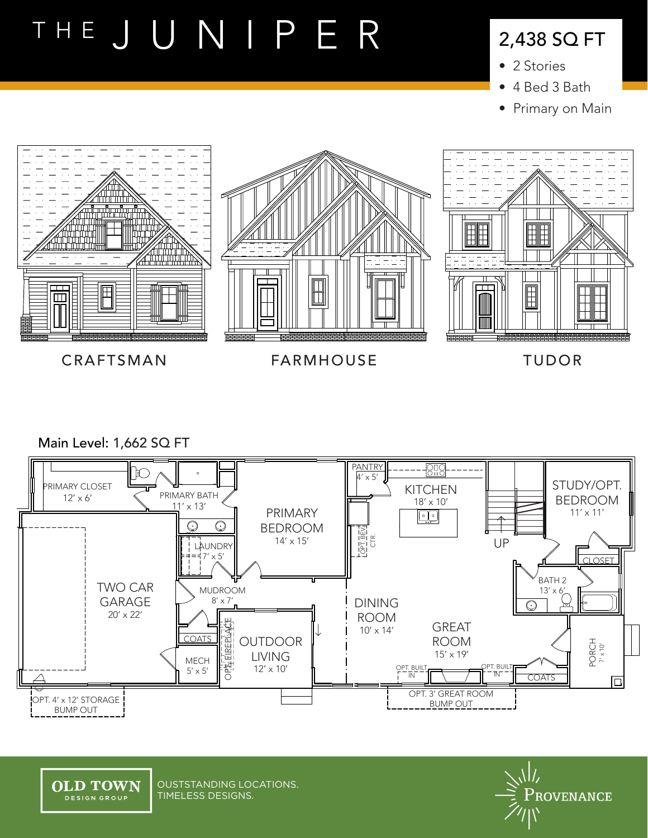# THE JUNIPER

### 2,438 SQ FT

- 2 Stories
- 4 Bed 3 Bath
- Primary on Main



CRAFTSMAN FARMHOUSE TUDOR

Main Level: 1,662 SQ FT





OUSTSTANDING LOCATIONS. TIMELESS DESIGNS.